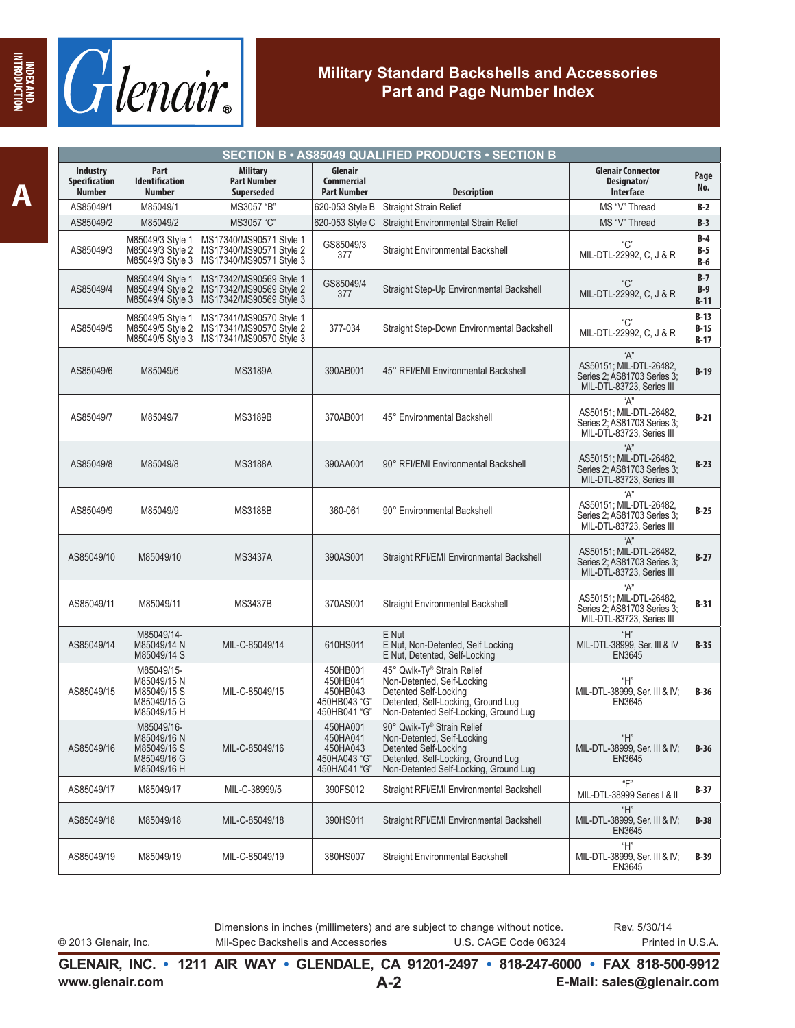

| SECTION B · AS85049 QUALIFIED PRODUCTS · SECTION B |                                                                        |                                                                               |                                                                  |                                                                                                                                                                  |                                                                                            |                            |  |
|----------------------------------------------------|------------------------------------------------------------------------|-------------------------------------------------------------------------------|------------------------------------------------------------------|------------------------------------------------------------------------------------------------------------------------------------------------------------------|--------------------------------------------------------------------------------------------|----------------------------|--|
| <b>Industry</b><br>Specification<br><b>Number</b>  | Part<br><b>Identification</b><br><b>Number</b>                         | <b>Military</b><br><b>Part Number</b><br><b>Superseded</b>                    | Glenair<br><b>Commercial</b><br><b>Part Number</b>               | <b>Description</b>                                                                                                                                               | <b>Glenair Connector</b><br>Designator/<br>Interface                                       | Page<br>No.                |  |
| AS85049/1                                          | M85049/1                                                               | MS3057 "B"                                                                    | 620-053 Style B                                                  | Straight Strain Relief                                                                                                                                           | MS "V" Thread                                                                              | $B-2$                      |  |
| AS85049/2                                          | M85049/2                                                               | MS3057 "C"                                                                    | 620-053 Style C                                                  | Straight Environmental Strain Relief                                                                                                                             | MS "V" Thread                                                                              | $B-3$                      |  |
| AS85049/3                                          | M85049/3 Style 1<br>M85049/3 Style 2<br>M85049/3 Style 3               | MS17340/MS90571 Style 1<br>MS17340/MS90571 Style 2<br>MS17340/MS90571 Style 3 | GS85049/3<br>377                                                 | <b>Straight Environmental Backshell</b>                                                                                                                          | "C"<br>MIL-DTL-22992, C, J & R                                                             | $B-4$<br>$B-5$<br>$B-6$    |  |
| AS85049/4                                          | M85049/4 Style 1<br>M85049/4 Style 2<br>M85049/4 Style 3               | MS17342/MS90569 Style 1<br>MS17342/MS90569 Style 2<br>MS17342/MS90569 Style 3 | GS85049/4<br>377                                                 | Straight Step-Up Environmental Backshell                                                                                                                         | "C"<br>MIL-DTL-22992, C, J & R                                                             | $B-7$<br>$B-9$<br>$B-11$   |  |
| AS85049/5                                          | M85049/5 Style 1<br>M85049/5 Style 2<br>M85049/5 Style 3               | MS17341/MS90570 Style 1<br>MS17341/MS90570 Style 2<br>MS17341/MS90570 Style 3 | 377-034                                                          | Straight Step-Down Environmental Backshell                                                                                                                       | "C"<br>MIL-DTL-22992, C, J & R                                                             | $B-13$<br>$B-15$<br>$B-17$ |  |
| AS85049/6                                          | M85049/6                                                               | <b>MS3189A</b>                                                                | 390AB001                                                         | 45° RFI/EMI Environmental Backshell                                                                                                                              | "A"<br>AS50151; MIL-DTL-26482,<br>Series 2; AS81703 Series 3;<br>MIL-DTL-83723, Series III | $B-19$                     |  |
| AS85049/7                                          | M85049/7                                                               | <b>MS3189B</b>                                                                | 370AB001                                                         | 45° Environmental Backshell                                                                                                                                      | "А"<br>AS50151; MIL-DTL-26482,<br>Series 2; AS81703 Series 3;<br>MIL-DTL-83723, Series III | $B-21$                     |  |
| AS85049/8                                          | M85049/8                                                               | <b>MS3188A</b>                                                                | 390AA001                                                         | 90° RFI/EMI Environmental Backshell                                                                                                                              | "А"<br>AS50151; MIL-DTL-26482,<br>Series 2: AS81703 Series 3:<br>MIL-DTL-83723, Series III | $B-23$                     |  |
| AS85049/9                                          | M85049/9                                                               | <b>MS3188B</b>                                                                | 360-061                                                          | 90° Environmental Backshell                                                                                                                                      | "А"<br>AS50151; MIL-DTL-26482,<br>Series 2, AS81703 Series 3,<br>MIL-DTL-83723, Series III | $B-25$                     |  |
| AS85049/10                                         | M85049/10                                                              | <b>MS3437A</b>                                                                | 390AS001                                                         | Straight RFI/EMI Environmental Backshell                                                                                                                         | "А"<br>AS50151; MIL-DTL-26482,<br>Series 2; AS81703 Series 3;<br>MIL-DTL-83723, Series III | $B-27$                     |  |
| AS85049/11                                         | M85049/11                                                              | <b>MS3437B</b>                                                                | 370AS001                                                         | <b>Straight Environmental Backshell</b>                                                                                                                          | "А"<br>AS50151; MIL-DTL-26482,<br>Series 2, AS81703 Series 3,<br>MIL-DTL-83723, Series III | $B-31$                     |  |
| AS85049/14                                         | M85049/14-<br>M85049/14 N<br>M85049/14 S                               | MIL-C-85049/14                                                                | 610HS011                                                         | E Nut<br>E Nut, Non-Detented, Self Locking<br>E Nut. Detented, Self-Locking                                                                                      | "H"<br>MIL-DTL-38999, Ser. III & IV<br>EN3645                                              | $B-35$                     |  |
| AS85049/15                                         | M85049/15-<br>M85049/15 N<br>M85049/15 S<br>M85049/15 G<br>M85049/15 H | MIL-C-85049/15                                                                | 450HB001<br>450HB041<br>450HB043<br>450HB043 "G"<br>450HB041 "G" | 45° Qwik-Ty® Strain Relief<br>Non-Detented, Self-Locking<br>Detented Self-Locking<br>Detented, Self-Locking, Ground Lug<br>Non-Detented Self-Locking, Ground Lug | "Н"<br>MIL-DTL-38999, Ser. III & IV;<br>EN3645                                             | $B-36$                     |  |
| AS85049/16                                         | M85049/16-<br>M85049/16 N<br>M85049/16 S<br>M85049/16 G<br>M85049/16 H | MIL-C-85049/16                                                                | 450HA001<br>450HA041<br>450HA043<br>450HA043 "G"<br>450HA041 "G" | 90° Qwik-Ty® Strain Relief<br>Non-Detented, Self-Locking<br>Detented Self-Locking<br>Detented, Self-Locking, Ground Lug<br>Non-Detented Self-Locking, Ground Lug | "H"<br>MIL-DTL-38999, Ser. III & IV;<br>EN3645                                             | $B-36$                     |  |
| AS85049/17                                         | M85049/17                                                              | MIL-C-38999/5                                                                 | 390FS012                                                         | Straight RFI/EMI Environmental Backshell                                                                                                                         | "F"<br>MIL-DTL-38999 Series I & II                                                         | <b>B-37</b>                |  |
| AS85049/18                                         | M85049/18                                                              | MIL-C-85049/18                                                                | 390HS011                                                         | Straight RFI/EMI Environmental Backshell                                                                                                                         | "Н"<br>MIL-DTL-38999, Ser. III & IV;<br><b>EN3645</b>                                      | $B-38$                     |  |
| AS85049/19                                         | M85049/19                                                              | MIL-C-85049/19                                                                | 380HS007                                                         | <b>Straight Environmental Backshell</b>                                                                                                                          | " $H$ "<br>MIL-DTL-38999, Ser. III & IV;<br>EN3645                                         | B-39                       |  |

© 2013 Glenair, Inc. Mil-Spec Backshells and Accessories U.S. CAGE Code 06324 Printed in U.S.A. Dimensions in inches (millimeters) and are subject to change without notice.

**INDEX AND INTRODUCTION**

INDEX AND<br>HYDEX AND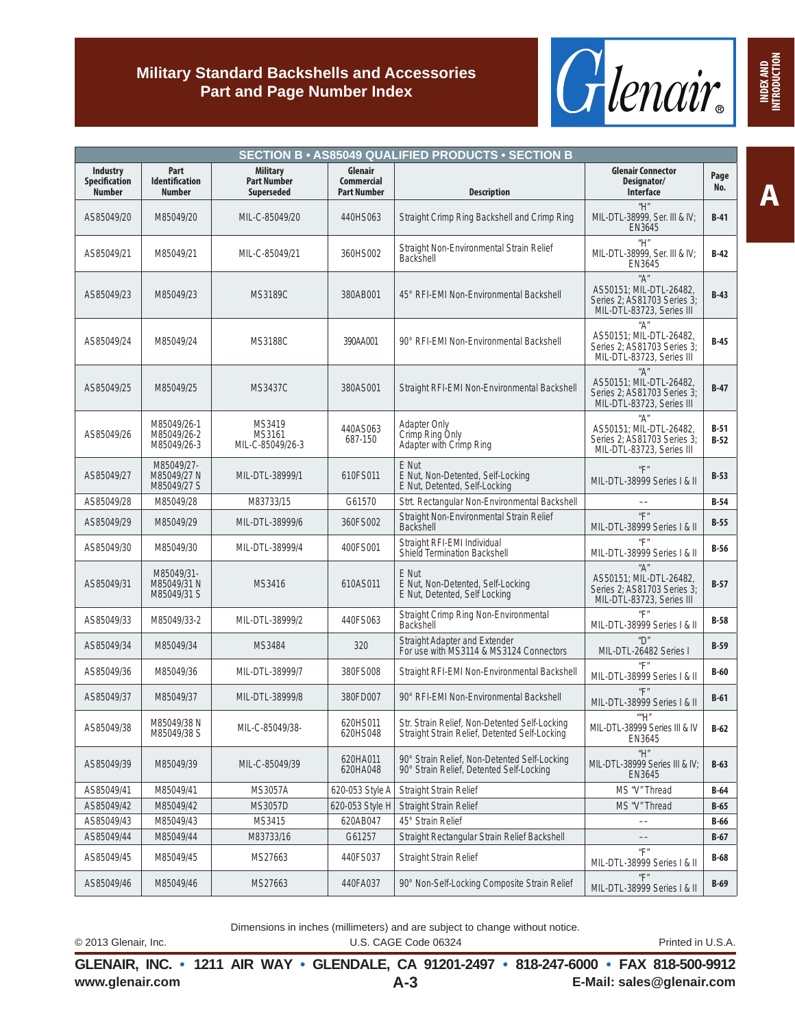

|                                            |                                                |                                                     |                                                    | <b>SECTION B • AS85049 QUALIFIED PRODUCTS • SECTION B</b>                                      |                                                                                            |                  |
|--------------------------------------------|------------------------------------------------|-----------------------------------------------------|----------------------------------------------------|------------------------------------------------------------------------------------------------|--------------------------------------------------------------------------------------------|------------------|
| Industry<br>Specification<br><b>Number</b> | Part<br><b>Identification</b><br><b>Number</b> | <b>Military</b><br><b>Part Number</b><br>Superseded | Glenair<br><b>Commercial</b><br><b>Part Number</b> | <b>Description</b>                                                                             | <b>Glenair Connector</b><br>Designator/<br><b>Interface</b>                                | Page<br>No.      |
| AS85049/20                                 | M85049/20                                      | MIL-C-85049/20                                      | 440HS063                                           | Straight Crimp Ring Backshell and Crimp Ring                                                   | "H"<br>MIL-DTL-38999, Ser. III & IV;<br>EN3645                                             | $B-41$           |
| AS85049/21                                 | M85049/21                                      | MIL-C-85049/21                                      | 360HS002                                           | Straight Non-Environmental Strain Relief<br>Backshell                                          | "H"<br>MIL-DTL-38999, Ser. III & IV;<br>EN3645                                             | $B-42$           |
| AS85049/23                                 | M85049/23                                      | <b>MS3189C</b>                                      | 380AB001                                           | 45° REI-EMI Non-Environmental Backshell                                                        | "A"<br>AS50151; MIL-DTL-26482,<br>Series 2; AS81703 Series 3;<br>MIL-DTL-83723, Series III | $B-43$           |
| AS85049/24                                 | M85049/24                                      | <b>MS3188C</b>                                      | 390AA001                                           | 90° RFI-EMI Non-Environmental Backshell                                                        | "A"<br>AS50151; MIL-DTL-26482,<br>Series 2: AS81703 Series 3:<br>MIL-DTL-83723, Series III | $B-45$           |
| AS85049/25                                 | M85049/25                                      | <b>MS3437C</b>                                      | 380AS001                                           | Straight RFI-EMI Non-Environmental Backshell                                                   | "A"<br>AS50151; MIL-DTL-26482,<br>Series 2; AS81703 Series 3;<br>MIL-DTL-83723, Series III | $B-47$           |
| AS85049/26                                 | M85049/26-1<br>M85049/26-2<br>M85049/26-3      | MS3419<br>MS3161<br>MIL-C-85049/26-3                | 440AS063<br>687-150                                | <b>Adapter Only</b><br>Crimp Ring Only<br>Adapter with Crimp Ring                              | "A"<br>AS50151; MIL-DTL-26482,<br>Series 2: AS81703 Series 3:<br>MIL-DTL-83723, Series III | $B-51$<br>$B-52$ |
| AS85049/27                                 | M85049/27-<br>M85049/27 N<br>M85049/27 S       | MIL-DTL-38999/1                                     | 610FS011                                           | E Nut<br>E Nut, Non-Detented, Self-Locking<br>E Nut, Detented, Self-Locking                    | $^u\mathsf{F}^u$<br>MIL-DTL-38999 Series I & II                                            | $B-53$           |
| AS85049/28                                 | M85049/28                                      | M83733/15                                           | G61570                                             | Strt. Rectangular Non-Environmental Backshell                                                  |                                                                                            | $B-54$           |
| AS85049/29                                 | M85049/29                                      | MIL-DTL-38999/6                                     | 360FS002                                           | Straight Non-Environmental Strain Relief<br><b>Backshell</b>                                   | $^u\mathsf{F}^u$<br>MIL-DTL-38999 Series I & II                                            | $B-55$           |
| AS85049/30                                 | M85049/30                                      | MIL-DTL-38999/4                                     | 400FS001                                           | Straight RFI-EMI Individual<br>Shield Termination Backshell                                    | $^u\mathsf{F}^v$<br>MIL-DTL-38999 Series I & II                                            | $B-56$           |
| AS85049/31                                 | M85049/31-<br>M85049/31 N<br>M85049/31 S       | MS3416                                              | 610AS011                                           | E Nut<br>E Nut, Non-Detented, Self-Locking<br>E Nut, Detented, Self Locking                    | "A"<br>AS50151; MIL-DTL-26482,<br>Series 2; AS81703 Series 3;<br>MIL-DTL-83723, Series III | $B-57$           |
| AS85049/33                                 | M85049/33-2                                    | MIL-DTL-38999/2                                     | 440FS063                                           | Straight Crimp Ring Non-Environmental<br><b>Backshell</b>                                      | $^u\mathsf{F}^u$<br>MIL-DTL-38999 Series   & II                                            | $B-58$           |
| AS85049/34                                 | M85049/34                                      | MS3484                                              | 320                                                | Straight Adapter and Extender<br>For use with MS3114 & MS3124 Connectors                       | $^{\prime\prime}$<br>MIL-DTL-26482 Series I                                                | $B-59$           |
| AS85049/36                                 | M85049/36                                      | MIL-DTL-38999/7                                     | 380FS008                                           | Straight RFI-EMI Non-Environmental Backshell                                                   | $^{\prime\prime}$ F<br>MIL-DTL-38999 Series I & II                                         | $B-60$           |
| AS85049/37                                 | M85049/37                                      | MIL-DTL-38999/8                                     | 380FD007                                           | 90° RELEMI Non-Environmental Backshell                                                         | $^u$ F $^u$<br>MIL-DTL-38999 Series   & II                                                 | $B-61$           |
| AS85049/38                                 | M85049/38 N<br>M85049/38 S                     | MIL-C-85049/38-                                     | 620HS011<br>620HS048                               | Str. Strain Relief, Non-Detented Self-Locking<br>Straight Strain Relief, Detented Self-Locking | ""H"<br>MIL-DTL-38999 Series III & IV<br>EN3645                                            | $B-62$           |
| AS85049/39                                 | M85049/39                                      | MIL-C-85049/39                                      | 620HA011<br>620HA048                               | 90° Strain Relief, Non-Detented Self-Locking<br>90° Strain Relief, Detented Self-Locking       | $^{\prime\prime}$ H $^{\prime\prime}$<br>MIL-DTL-38999 Series III & IV;<br>EN3645          | $B-63$           |
| AS85049/41                                 | M85049/41                                      | <b>MS3057A</b>                                      | 620-053 Style A                                    | Straight Strain Relief                                                                         | MS "V" Thread                                                                              | $B-64$           |
| AS85049/42                                 | M85049/42                                      | <b>MS3057D</b>                                      | 620-053 Style H                                    | Straight Strain Relief                                                                         | MS "V" Thread                                                                              | $B-65$           |
| AS85049/43                                 | M85049/43                                      | MS3415                                              | 620AB047                                           | 45° Strain Relief                                                                              |                                                                                            | $B-66$           |
| AS85049/44                                 | M85049/44                                      | M83733/16                                           | G61257                                             | Straight Rectangular Strain Relief Backshell                                                   |                                                                                            | $B-67$           |
| AS85049/45                                 | M85049/45                                      | MS27663                                             | 440FS037                                           | Straight Strain Relief                                                                         | $^u\mathsf{F}^n$<br>MIL-DTL-38999 Series   & II                                            | $B-68$           |
| AS85049/46                                 | M85049/46                                      | MS27663                                             | 440FA037                                           | 90° Non-Self-Locking Composite Strain Relief                                                   | $^u\mathsf{F}^u$<br>MIL-DTL-38999 Series I & II                                            | $B-69$           |

Dimensions in inches (millimeters) and are subject to change without notice. © 2013 Glenair, Inc. U.S. CAGE Code 06324 Printed in U.S.A.

**www.glenair.com E-Mail: sales@glenair.com GLENAIR, INC. • 1211 AIR WAY • GLENDALE, CA 91201-2497 • 818-247-6000 • FAX 818-500-9912 A-3**

**A**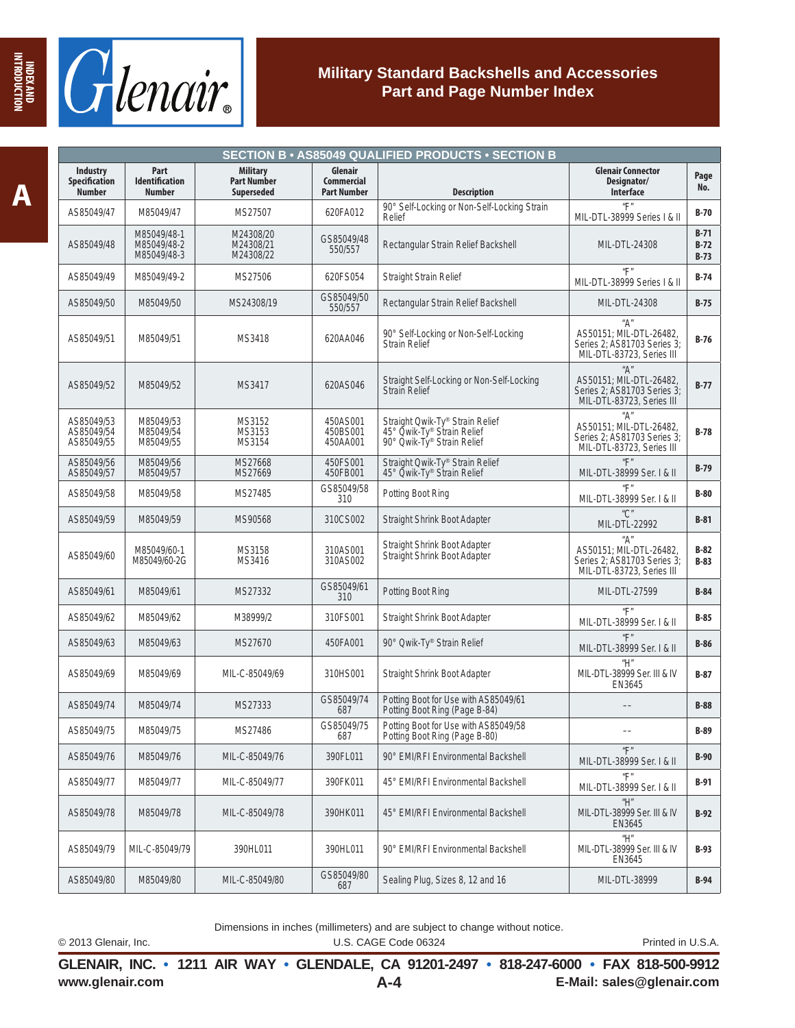

|                                                          | <b>SECTION B · AS85049 QUALIFIED PRODUCTS · SECTION B</b> |                                                     |                                                    |                                                                                             |                                                                                                             |                            |  |  |  |
|----------------------------------------------------------|-----------------------------------------------------------|-----------------------------------------------------|----------------------------------------------------|---------------------------------------------------------------------------------------------|-------------------------------------------------------------------------------------------------------------|----------------------------|--|--|--|
| <b>Industry</b><br><b>Specification</b><br><b>Number</b> | Part<br><b>Identification</b><br><b>Number</b>            | <b>Military</b><br><b>Part Number</b><br>Superseded | Glenair<br><b>Commercial</b><br><b>Part Number</b> | <b>Description</b>                                                                          | <b>Glenair Connector</b><br>Designator/<br>Interface                                                        | Page<br>No.                |  |  |  |
| AS85049/47                                               | M85049/47                                                 | MS27507                                             | 620FA012                                           | 90° Self-Locking or Non-Self-Locking Strain<br>Relief                                       | $^u\Box$<br>MIL-DTL-38999 Series   & II                                                                     | <b>B-70</b>                |  |  |  |
| AS85049/48                                               | M85049/48-1<br>M85049/48-2<br>M85049/48-3                 | M24308/20<br>M24308/21<br>M24308/22                 | GS85049/48<br>550/557                              | Rectangular Strain Relief Backshell                                                         | MIL-DTL-24308                                                                                               | $B-71$<br>$B-72$<br>$B-73$ |  |  |  |
| AS85049/49                                               | M85049/49-2                                               | MS27506                                             | 620FS054                                           | Straight Strain Relief                                                                      | $^u\mathsf{F}^u$<br>MIL-DTL-38999 Series I & II                                                             | $B-74$                     |  |  |  |
| AS85049/50                                               | M85049/50                                                 | MS24308/19                                          | GS85049/50<br>550/557                              | Rectangular Strain Relief Backshell                                                         | MIL-DTL-24308                                                                                               | $B-75$                     |  |  |  |
| AS85049/51                                               | M85049/51                                                 | MS3418                                              | 620AA046                                           | 90° Self-Locking or Non-Self-Locking<br><b>Strain Relief</b>                                | "А"<br>AS50151; MIL-DTL-26482,<br>Series 2; AS81703 Series 3;<br>MIL-DTL-83723, Series III                  | $B-76$                     |  |  |  |
| AS85049/52                                               | M85049/52                                                 | MS3417                                              | 620AS046                                           | Straight Self-Locking or Non-Self-Locking<br>Strain Relief                                  | $^{\prime\prime}$ A"<br>AS50151; MIL-DTL-26482,<br>Series 2; AS81703 Series 3;<br>MIL-DTL-83723, Series III | $B-77$                     |  |  |  |
| AS85049/53<br>AS85049/54<br>AS85049/55                   | M85049/53<br>M85049/54<br>M85049/55                       | MS3152<br>MS3153<br>MS3154                          | 450AS001<br>450BS001<br>450AA001                   | Straight Owik-Ty® Strain Relief<br>45° Owik-Ty® Strain Relief<br>90° Qwik-Ty® Strain Relief | "А"<br>AS50151; MIL-DTL-26482,<br>Series 2: AS81703 Series 3:<br>MIL-DTL-83723, Series III                  | $B-78$                     |  |  |  |
| AS85049/56<br>AS85049/57                                 | M85049/56<br>M85049/57                                    | MS27668<br>MS27669                                  | 450FS001<br>450FB001                               | Straight Qwik-Ty® Strain Relief<br>45° Qwik-Ty® Strain Relief                               | $^u\mathsf{F}$<br>MIL-DTL-38999 Ser. I & II                                                                 | $B-79$                     |  |  |  |
| AS85049/58                                               | M85049/58                                                 | MS27485                                             | GS85049/58<br>310                                  | Potting Boot Ring                                                                           | $^{\prime\prime}$ F"<br>MIL-DTL-38999 Ser.   & II                                                           | $B-80$                     |  |  |  |
| AS85049/59                                               | M85049/59                                                 | MS90568                                             | 310CS002                                           | Straight Shrink Boot Adapter                                                                | $\sqrt[n]{C}$<br>MIL-DTL-22992                                                                              | $B-81$                     |  |  |  |
| AS85049/60                                               | M85049/60-1<br>M85049/60-2G                               | MS3158<br>MS3416                                    | 310AS001<br>310AS002                               | Straight Shrink Boot Adapter<br>Straight Shrink Boot Adapter                                | "A"<br>AS50151; MIL-DTL-26482,<br>Series 2: AS81703 Series 3:<br>MIL-DTL-83723, Series III                  | $B-82$<br>$B-83$           |  |  |  |
| AS85049/61                                               | M85049/61                                                 | MS27332                                             | GS85049/61<br>310                                  | Potting Boot Ring                                                                           | MIL-DTL-27599                                                                                               | $B-84$                     |  |  |  |
| AS85049/62                                               | M85049/62                                                 | M38999/2                                            | 310FS001                                           | Straight Shrink Boot Adapter                                                                | $^u\mathsf{F}^u$<br>MIL-DTL-38999 Ser. I & II                                                               | $B-85$                     |  |  |  |
| AS85049/63                                               | M85049/63                                                 | MS27670                                             | 450FA001                                           | 90° Qwik-Ty® Strain Relief                                                                  | $^u\mathsf{F}^u$<br>MIL-DTL-38999 Ser. I & II                                                               | $B-86$                     |  |  |  |
| AS85049/69                                               | M85049/69                                                 | MIL-C-85049/69                                      | 310HS001                                           | Straight Shrink Boot Adapter                                                                | "H"<br>MIL-DTL-38999 Ser. III & IV<br>EN3645                                                                | B-87                       |  |  |  |
| AS85049/74                                               | M85049/74                                                 | MS27333                                             | GS85049/74<br>687                                  | Potting Boot for Use with AS85049/61<br>Potting Boot Ring (Page B-84)                       |                                                                                                             | $B-88$                     |  |  |  |
| AS85049/75                                               | M85049/75                                                 | MS27486                                             | GS85049/75<br>687                                  | Potting Boot for Use with AS85049/58<br>Potting Boot Ring (Page B-80)                       |                                                                                                             | B-89                       |  |  |  |
| AS85049/76                                               | M85049/76                                                 | MIL-C-85049/76                                      | 390FL011                                           | 90° EMI/RFI Environmental Backshell                                                         | $^u\mathsf{F}^{\:\!n}$<br>MIL-DTL-38999 Ser. I & II                                                         | $B-90$                     |  |  |  |
| AS85049/77                                               | M85049/77                                                 | MIL-C-85049/77                                      | 390FK011                                           | 45° EMI/RFI Environmental Backshell                                                         | $^u$ F $^u$<br>MIL-DTL-38999 Ser. I & II                                                                    | <b>B-91</b>                |  |  |  |
| AS85049/78                                               | M85049/78                                                 | MIL-C-85049/78                                      | 390HK011                                           | 45° EMI/RFI Environmental Backshell                                                         | "H"<br>MIL-DTL-38999 Ser. III & IV<br>EN3645                                                                | $B-92$                     |  |  |  |
| AS85049/79                                               | MIL-C-85049/79                                            | 390HL011                                            | 390HL011                                           | 90° EMI/RFI Environmental Backshell                                                         | "H"<br>MIL-DTL-38999 Ser. III & IV<br>EN3645                                                                | <b>B-93</b>                |  |  |  |
| AS85049/80                                               | M85049/80                                                 | MIL-C-85049/80                                      | GS85049/80<br>687                                  | Sealing Plug, Sizes 8, 12 and 16                                                            | MIL-DTL-38999                                                                                               | <b>B-94</b>                |  |  |  |

Dimensions in inches (millimeters) and are subject to change without notice.

© 2013 Glenair, Inc. U.S. CAGE Code 06324 Printed in U.S.A.

**www.glenair.com E-Mail: sales@glenair.com GLENAIR, INC. • 1211 AIR WAY • GLENDALE, CA 91201-2497 • 818-247-6000 • FAX 818-500-9912 A-4**

**INDEX AND INTRODUCTION**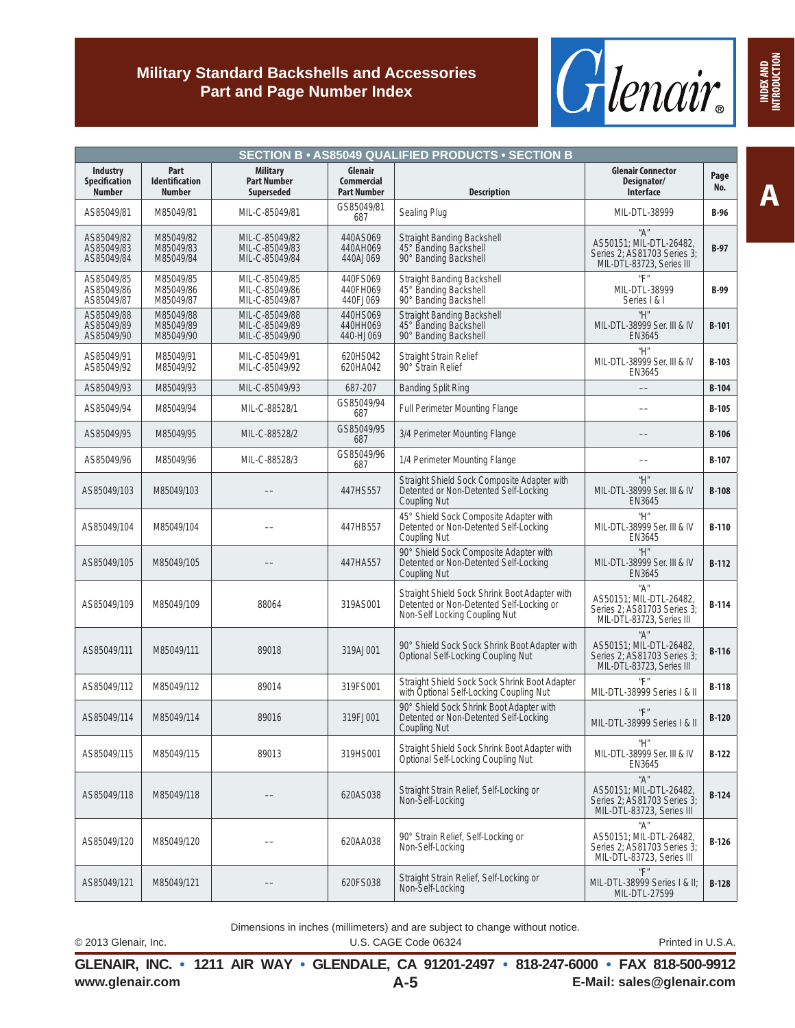

|                                                          |                                                |                                                            |                                                    | <b>SECTION B • AS85049 QUALIFIED PRODUCTS • SECTION B</b>                                                                  |                                                                                            |              |
|----------------------------------------------------------|------------------------------------------------|------------------------------------------------------------|----------------------------------------------------|----------------------------------------------------------------------------------------------------------------------------|--------------------------------------------------------------------------------------------|--------------|
| <b>Industry</b><br><b>Specification</b><br><b>Number</b> | Part<br><b>Identification</b><br><b>Number</b> | <b>Military</b><br><b>Part Number</b><br><b>Superseded</b> | Glenair<br><b>Commercial</b><br><b>Part Number</b> | <b>Description</b>                                                                                                         | <b>Glenair Connector</b><br>Designator/<br><b>Interface</b>                                | Page<br>No.  |
| AS85049/81                                               | M85049/81                                      | MIL-C-85049/81                                             | GS85049/81<br>687                                  | Sealing Plug                                                                                                               | MIL-DTL-38999                                                                              | $B-96$       |
| AS85049/82<br>AS85049/83<br>AS85049/84                   | M85049/82<br>M85049/83<br>M85049/84            | MIL-C-85049/82<br>MIL-C-85049/83<br>MIL-C-85049/84         | 440AS069<br>440AH069<br>440AJ069                   | Straight Banding Backshell<br>45° Banding Backshell<br>90° Banding Backshell                                               | "A"<br>AS50151; MIL-DTL-26482,<br>Series 2: AS81703 Series 3:<br>MIL-DTL-83723, Series III | $B-97$       |
| AS85049/85<br>AS85049/86<br>AS85049/87                   | M85049/85<br>M85049/86<br>M85049/87            | MIL-C-85049/85<br>MIL-C-85049/86<br>MIL-C-85049/87         | 440FS069<br>440FH069<br>440FJ069                   | Straight Banding Backshell<br>45° Banding Backshell<br>90° Banding Backshell                                               | $^u$ F $^u$<br>MIL-DTL-38999<br>Series   &                                                 | $B-99$       |
| AS85049/88<br>AS85049/89<br>AS85049/90                   | M85049/88<br>M85049/89<br>M85049/90            | MIL-C-85049/88<br>MIL-C-85049/89<br>MIL-C-85049/90         | 440HS069<br>440HH069<br>440-HJ069                  | Straight Banding Backshell<br>45° Banding Backshell<br>90° Banding Backshell                                               | "H"<br>MIL-DTL-38999 Ser. III & IV<br>EN3645                                               | $B-101$      |
| AS85049/91<br>AS85049/92                                 | M85049/91<br>M85049/92                         | MIL-C-85049/91<br>MIL-C-85049/92                           | 620HS042<br>620HA042                               | <b>Straight Strain Relief</b><br>90° Strain Relief                                                                         | "H"<br>MIL-DTL-38999 Ser. III & IV<br>EN3645                                               | $B-103$      |
| AS85049/93                                               | M85049/93                                      | MIL-C-85049/93                                             | 687-207                                            | <b>Banding Split Ring</b>                                                                                                  |                                                                                            | $B-104$      |
| AS85049/94                                               | M85049/94                                      | MIL-C-88528/1                                              | GS85049/94<br>687                                  | Full Perimeter Mounting Flange                                                                                             |                                                                                            | $B-105$      |
| AS85049/95                                               | M85049/95                                      | MIL-C-88528/2                                              | GS85049/95<br>687                                  | 3/4 Perimeter Mounting Flange                                                                                              |                                                                                            | $B-106$      |
| AS85049/96                                               | M85049/96                                      | MIL-C-88528/3                                              | GS85049/96<br>687                                  | 1/4 Perimeter Mounting Flange                                                                                              |                                                                                            | $B-107$      |
| AS85049/103                                              | M85049/103                                     |                                                            | 447HS557                                           | Straight Shield Sock Composite Adapter with<br>Detented or Non-Detented Self-Locking<br><b>Coupling Nut</b>                | "H"<br>MIL-DTL-38999 Ser. III & IV<br>EN3645                                               | $B-108$      |
| AS85049/104                                              | M85049/104                                     |                                                            | 447HB557                                           | 45° Shield Sock Composite Adapter with<br>Detented or Non-Detented Self-Locking<br>Coupling Nut                            | "H"<br>MIL-DTL-38999 Ser. III & IV<br>EN3645                                               | $B-110$      |
| AS85049/105                                              | M85049/105                                     |                                                            | 447HA557                                           | 90° Shield Sock Composite Adapter with<br>Detented or Non-Detented Self-Locking<br><b>Coupling Nut</b>                     | "H"<br>MIL-DTL-38999 Ser. III & IV<br>EN3645                                               | $B-112$      |
| AS85049/109                                              | M85049/109                                     | 88064                                                      | 319AS001                                           | Straight Shield Sock Shrink Boot Adapter with<br>Detented or Non-Detented Self-Locking or<br>Non-Self Locking Coupling Nut | "A"<br>AS50151; MIL-DTL-26482,<br>Series 2; AS81703 Series 3;<br>MIL-DTL-83723, Series III | <b>B-114</b> |
| AS85049/111                                              | M85049/111                                     | 89018                                                      | 319AJ001                                           | 90° Shield Sock Sock Shrink Boot Adapter with<br>Optional Self-Locking Coupling Nut                                        | "A"<br>AS50151; MIL-DTL-26482,<br>Series 2: AS81703 Series 3:<br>MIL-DTL-83723, Series III | $B-116$      |
| AS85049/112                                              | M85049/112                                     | 89014                                                      | 319FS001                                           | Straight Shield Sock Sock Shrink Boot Adapter<br>with Optional Self-Locking Coupling Nut                                   | $^u\mathsf{F}^u$<br>MIL-DTL-38999 Series   & II                                            | <b>B-118</b> |
| AS85049/114                                              | M85049/114                                     | 89016                                                      | 319FJ001                                           | 90° Shield Sock Shrink Boot Adapter with<br>Detented or Non-Detented Self-Locking<br><b>Coupling Nut</b>                   | $^u$ F $^u$<br>MIL-DTL-38999 Series   & II                                                 | $B-120$      |
| AS85049/115                                              | M85049/115                                     | 89013                                                      | 319HS001                                           | Straight Shield Sock Shrink Boot Adapter with<br>Optional Self-Locking Coupling Nut                                        | "H"<br>MIL-DTL-38999 Ser. III & IV<br>EN3645                                               | $B-122$      |
| AS85049/118                                              | M85049/118                                     |                                                            | 620AS038                                           | Straight Strain Relief, Self-Locking or<br>Non-Self-Locking                                                                | "A"<br>AS50151; MIL-DTL-26482,<br>Series 2: AS81703 Series 3:<br>MIL-DTL-83723, Series III | $B-124$      |
| AS85049/120                                              | M85049/120                                     |                                                            | 620AA038                                           | 90° Strain Relief, Self-Locking or<br>Non-Self-Locking                                                                     | "A"<br>AS50151; MIL-DTL-26482,<br>Series 2: AS81703 Series 3:<br>MIL-DTL-83723, Series III | $B-126$      |
| AS85049/121                                              | M85049/121                                     |                                                            | 620FS038                                           | Straight Strain Relief, Self-Locking or<br>Non-Self-Locking                                                                | $^u\mathsf{F}^u$<br>MIL-DTL-38999 Series   & II;<br>MIL-DTL-27599                          | $B-128$      |

Dimensions in inches (millimeters) and are subject to change without notice.

© 2013 Glenair, Inc. U.S. CAGE Code 06324 Printed in U.S.A.

**www.glenair.com E-Mail: sales@glenair.com GLENAIR, INC. • 1211 AIR WAY • GLENDALE, CA 91201-2497 • 818-247-6000 • FAX 818-500-9912 A-5**

**A**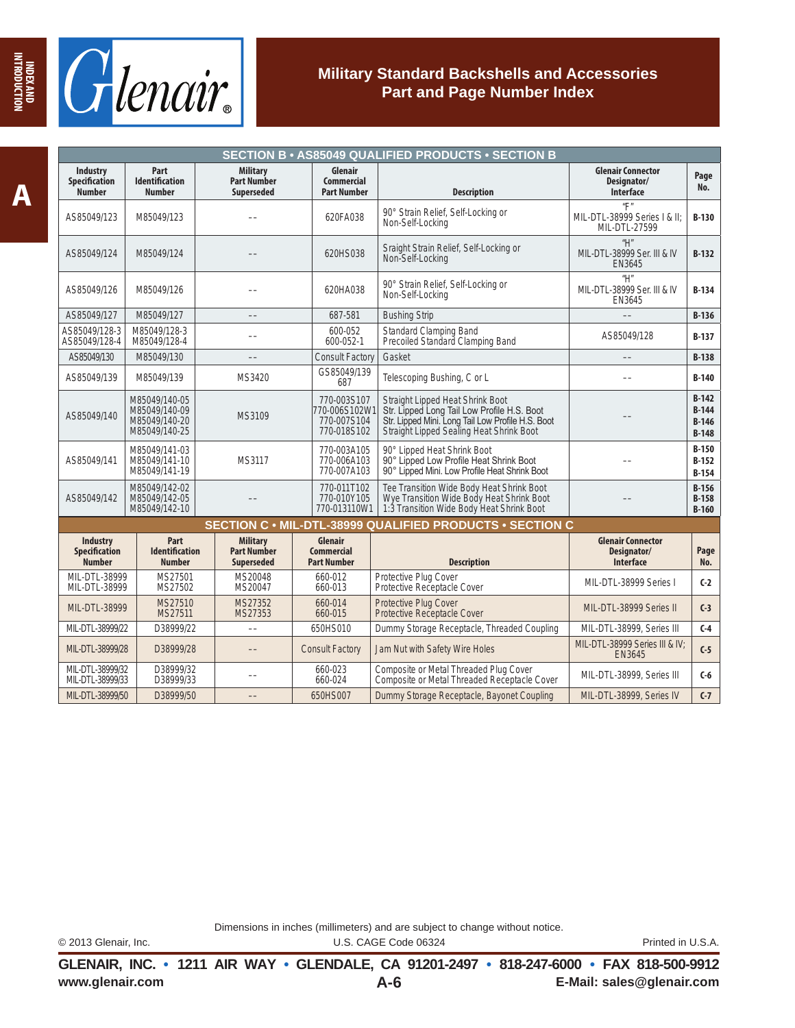



|                                                          | <b>SECTION B · AS85049 QUALIFIED PRODUCTS · SECTION B</b>        |                                                            |                                                            |                                                                                                                                                                                  |                                                                       |                                          |  |  |  |  |
|----------------------------------------------------------|------------------------------------------------------------------|------------------------------------------------------------|------------------------------------------------------------|----------------------------------------------------------------------------------------------------------------------------------------------------------------------------------|-----------------------------------------------------------------------|------------------------------------------|--|--|--|--|
| <b>Industry</b><br><b>Specification</b><br><b>Number</b> | Part<br><b>Identification</b><br><b>Number</b>                   | <b>Military</b><br><b>Part Number</b><br><b>Superseded</b> | Glenair<br><b>Commercial</b><br><b>Part Number</b>         | <b>Description</b>                                                                                                                                                               | <b>Glenair Connector</b><br>Designator/<br><b>Interface</b>           | Page<br>No.                              |  |  |  |  |
| AS85049/123                                              | M85049/123                                                       |                                                            | 620FA038                                                   | 90° Strain Relief, Self-Locking or<br>Non-Self-Locking                                                                                                                           | $^{\prime\prime}$ F"<br>MIL-DTL-38999 Series   & II:<br>MIL-DTL-27599 | $B-130$                                  |  |  |  |  |
| AS85049/124                                              | M85049/124                                                       |                                                            | 620HS038                                                   | Sraight Strain Relief, Self-Locking or<br>Non-Self-Locking                                                                                                                       | H''<br>MIL-DTL-38999 Ser. III & IV<br>EN3645                          | $B-132$                                  |  |  |  |  |
| AS85049/126                                              | M85049/126                                                       |                                                            | 620HA038                                                   | 90° Strain Relief, Self-Locking or<br>Non-Self-Locking                                                                                                                           | "H"<br>MIL-DTL-38999 Ser. III & IV<br>EN3645                          | $B-134$                                  |  |  |  |  |
| AS85049/127                                              | M85049/127                                                       |                                                            | 687-581                                                    | <b>Bushing Strip</b>                                                                                                                                                             |                                                                       | $B-136$                                  |  |  |  |  |
| AS85049/128-3<br>AS85049/128-4                           | M85049/128-3<br>M85049/128-4                                     |                                                            | 600-052<br>600-052-1                                       | Standard Clamping Band<br>Precoiled Standard Clamping Band                                                                                                                       | AS85049/128                                                           | $B-137$                                  |  |  |  |  |
| AS85049/130                                              | M85049/130                                                       |                                                            | <b>Consult Factory</b>                                     | Gasket                                                                                                                                                                           |                                                                       | $B-138$                                  |  |  |  |  |
| AS85049/139                                              | M85049/139                                                       | MS3420                                                     | GS85049/139<br>687                                         | Telescoping Bushing, C or L                                                                                                                                                      |                                                                       | $B-140$                                  |  |  |  |  |
| AS85049/140                                              | M85049/140-05<br>M85049/140-09<br>M85049/140-20<br>M85049/140-25 | MS3109                                                     | 770-003S107<br>770-006S102W1<br>770-007S104<br>770-018S102 | Straight Lipped Heat Shrink Boot<br>Str. Lipped Long Tail Low Profile H.S. Boot<br>Str. Lipped Mini. Long Tail Low Profile H.S. Boot<br>Straight Lipped Sealing Heat Shrink Boot |                                                                       | $B-142$<br>$B-144$<br>$B-146$<br>$B-148$ |  |  |  |  |
| AS85049/141                                              | M85049/141-03<br>M85049/141-10<br>M85049/141-19                  | MS3117                                                     | 770-003A105<br>770-006A103<br>770-007A103                  | 90° Lipped Heat Shrink Boot<br>90° Lipped Low Profile Heat Shrink Boot<br>90° Lipped Mini. Low Profile Heat Shrink Boot                                                          |                                                                       | $B-150$<br>$B-152$<br>$B-154$            |  |  |  |  |
| AS85049/142                                              | M85049/142-02<br>M85049/142-05<br>M85049/142-10                  |                                                            | 770-011T102<br>770-010Y105<br>770-013110W1                 | Tee Transition Wide Body Heat Shrink Boot<br>Wye Transition Wide Body Heat Shrink Boot<br>1:3 Transition Wide Body Heat Shrink Boot                                              |                                                                       | $B-156$<br>$B-158$<br>$B-160$            |  |  |  |  |
|                                                          |                                                                  |                                                            |                                                            | SECTION C . MIL-DTL-38999 QUALIFIED PRODUCTS . SECTION C                                                                                                                         |                                                                       |                                          |  |  |  |  |
| Industry<br><b>Specification</b><br><b>Number</b>        | Part<br><b>Identification</b><br><b>Number</b>                   | <b>Military</b><br><b>Part Number</b><br><b>Superseded</b> | Glenair<br><b>Commercial</b><br><b>Part Number</b>         | <b>Description</b>                                                                                                                                                               | <b>Glenair Connector</b><br>Designator/<br><b>Interface</b>           | Page<br>No.                              |  |  |  |  |
| MIL-DTL-38999<br>MIL-DTL-38999                           | MS27501<br>MS27502                                               | MS20048<br>MS20047                                         | 660-012<br>660-013                                         | Protective Plug Cover<br>Protective Receptacle Cover                                                                                                                             | MIL-DTL-38999 Series I                                                | $C-2$                                    |  |  |  |  |
| MIL-DTL-38999                                            | MS27510<br>MS27511                                               | MS27352<br>MS27353                                         | 660-014<br>660-015                                         | Protective Plug Cover<br>Protective Receptacle Cover                                                                                                                             | MIL-DTL-38999 Series II                                               | $C-3$                                    |  |  |  |  |
| MIL-DTL-38999/22                                         | D38999/22                                                        |                                                            | 650HS010                                                   | Dummy Storage Receptacle, Threaded Coupling                                                                                                                                      | MIL-DTL-38999, Series III                                             | $C-4$                                    |  |  |  |  |
| MIL-DTL-38999/28                                         | D38999/28                                                        |                                                            | <b>Consult Factory</b>                                     | Jam Nut with Safety Wire Holes                                                                                                                                                   | MIL-DTL-38999 Series III & IV;<br>EN3645                              | $C-5$                                    |  |  |  |  |
| MIL-DTL-38999/32<br>MIL-DTL-38999/33                     | D38999/32<br>D38999/33                                           |                                                            | 660-023<br>660-024                                         | Composite or Metal Threaded Plug Cover<br>Composite or Metal Threaded Receptacle Cover                                                                                           | MIL-DTL-38999, Series III                                             | $C-6$                                    |  |  |  |  |
| MIL-DTL-38999/50                                         | D38999/50                                                        |                                                            | 650HS007                                                   | Dummy Storage Receptacle, Bayonet Coupling                                                                                                                                       | MIL-DTL-38999, Series IV                                              | $C-7$                                    |  |  |  |  |

Dimensions in inches (millimeters) and are subject to change without notice.

© 2013 Glenair, Inc. U.S. CAGE Code 06324 Printed in U.S.A.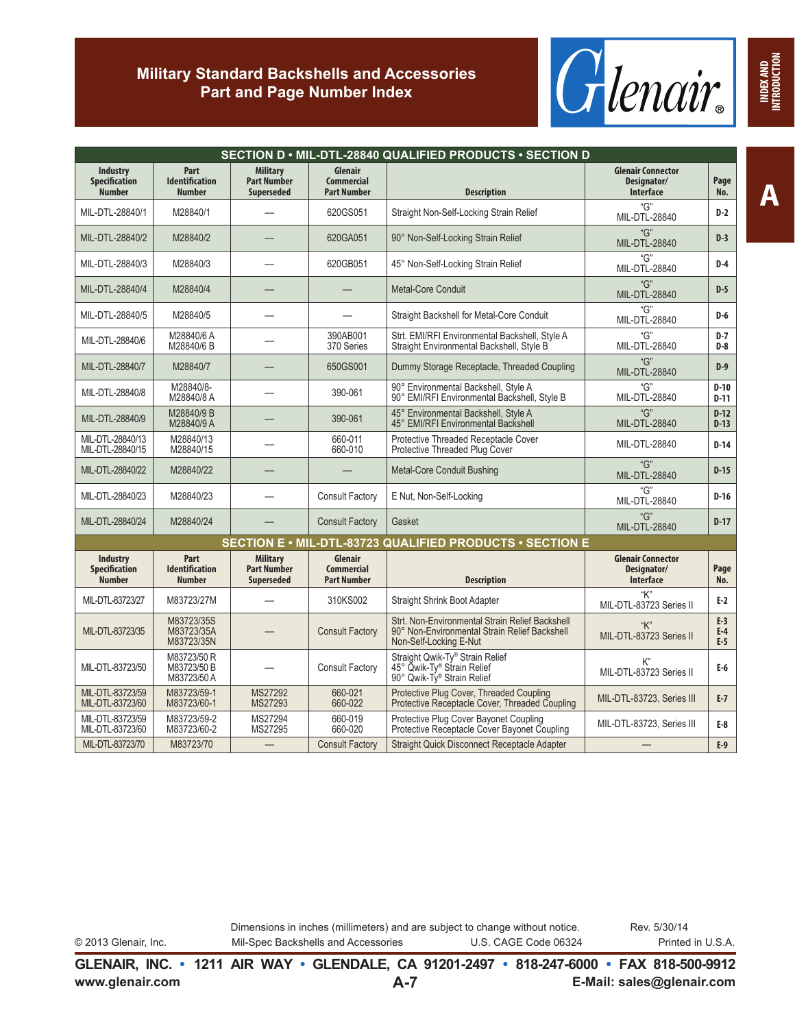

|                                                   |                                                |                                                            |                                                    | SECTION D · MIL-DTL-28840 QUALIFIED PRODUCTS · SECTION D                                                                   |                                                             |                         |
|---------------------------------------------------|------------------------------------------------|------------------------------------------------------------|----------------------------------------------------|----------------------------------------------------------------------------------------------------------------------------|-------------------------------------------------------------|-------------------------|
| Industry<br><b>Specification</b><br><b>Number</b> | Part<br><b>Identification</b><br><b>Number</b> | <b>Military</b><br><b>Part Number</b><br><b>Superseded</b> | Glenair<br><b>Commercial</b><br><b>Part Number</b> | <b>Description</b>                                                                                                         | <b>Glenair Connector</b><br>Designator/<br><b>Interface</b> | Page<br>No.             |
| MIL-DTL-28840/1                                   | M28840/1                                       |                                                            | 620GS051                                           | Straight Non-Self-Locking Strain Relief                                                                                    | "G"<br>MIL-DTL-28840                                        | D-2                     |
| MIL-DTL-28840/2                                   | M28840/2                                       |                                                            | 620GA051                                           | 90° Non-Self-Locking Strain Relief                                                                                         | "G"<br><b>MIL-DTL-28840</b>                                 | $D-3$                   |
| MIL-DTL-28840/3                                   | M28840/3                                       |                                                            | 620GB051                                           | 45° Non-Self-Locking Strain Relief                                                                                         | "G"<br>MIL-DTL-28840                                        | $D-4$                   |
| MIL-DTL-28840/4                                   | M28840/4                                       |                                                            |                                                    | Metal-Core Conduit                                                                                                         | "G"<br><b>MIL-DTL-28840</b>                                 | $D-5$                   |
| MIL-DTL-28840/5                                   | M28840/5                                       |                                                            |                                                    | Straight Backshell for Metal-Core Conduit                                                                                  | "G"<br>MIL-DTL-28840                                        | $D-6$                   |
| MIL-DTL-28840/6                                   | M28840/6 A<br>M28840/6 B                       |                                                            | 390AB001<br>370 Series                             | Strt. EMI/RFI Environmental Backshell, Style A<br>Straight Environmental Backshell, Style B                                | "G"<br>MIL-DTL-28840                                        | $D-7$<br>$D-8$          |
| MIL-DTL-28840/7                                   | M28840/7                                       |                                                            | 650GS001                                           | Dummy Storage Receptacle, Threaded Coupling                                                                                | "G"<br><b>MIL-DTL-28840</b>                                 | $D-9$                   |
| MIL-DTL-28840/8                                   | M28840/8-<br>M28840/8 A                        |                                                            | 390-061                                            | 90° Environmental Backshell, Style A<br>90° EMI/RFI Environmental Backshell, Style B                                       | "G"<br>MIL-DTL-28840                                        | $D-10$<br>$D-11$        |
| MIL-DTL-28840/9                                   | M28840/9 B<br>M28840/9 A                       |                                                            | 390-061                                            | 45° Environmental Backshell, Style A<br>45° EMI/RFI Environmental Backshell                                                | "G"<br><b>MIL-DTL-28840</b>                                 | $D-12$<br>$D-13$        |
| MIL-DTL-28840/13<br>MIL-DTL-28840/15              | M28840/13<br>M28840/15                         |                                                            | 660-011<br>660-010                                 | Protective Threaded Receptacle Cover<br>Protective Threaded Plug Cover                                                     | MIL-DTL-28840                                               | $D-14$                  |
| MIL-DTL-28840/22                                  | M28840/22                                      |                                                            |                                                    | Metal-Core Conduit Bushing                                                                                                 | "G"<br>MIL-DTL-28840                                        | $D-15$                  |
| MIL-DTL-28840/23                                  | M28840/23                                      |                                                            | <b>Consult Factory</b>                             | E Nut, Non-Self-Locking                                                                                                    | "G"<br>MIL-DTL-28840                                        | $D-16$                  |
| MIL-DTL-28840/24                                  | M28840/24                                      |                                                            | <b>Consult Factory</b>                             | Gasket                                                                                                                     | "G"<br><b>MIL-DTL-28840</b>                                 | $D-17$                  |
|                                                   |                                                |                                                            |                                                    | SECTION E • MIL-DTL-83723 QUALIFIED PRODUCTS • SECTION E                                                                   |                                                             |                         |
| Industry<br><b>Specification</b><br><b>Number</b> | Part<br><b>Identification</b><br><b>Number</b> | <b>Military</b><br><b>Part Number</b><br><b>Superseded</b> | Glenair<br><b>Commercial</b><br><b>Part Number</b> | <b>Description</b>                                                                                                         | <b>Glenair Connector</b><br>Designator/<br><b>Interface</b> | Page<br>No.             |
| MIL-DTL-83723/27                                  | M83723/27M                                     |                                                            | 310KS002                                           | Straight Shrink Boot Adapter                                                                                               | "K"<br>MIL-DTL-83723 Series II                              | $E-2$                   |
| MIL-DTL-83723/35                                  | M83723/35S<br>M83723/35A<br>M83723/35N         |                                                            | <b>Consult Factory</b>                             | Strt. Non-Environmental Strain Relief Backshell<br>90° Non-Environmental Strain Relief Backshell<br>Non-Self-Locking E-Nut | "K"<br>MIL-DTL-83723 Series II                              | $E-3$<br>$E-4$<br>$E-5$ |
| MIL-DTL-83723/50                                  | M83723/50 R<br>M83723/50 B<br>M83723/50 A      |                                                            | <b>Consult Factory</b>                             | Straight Qwik-Ty® Strain Relief<br>45° Qwik-Ty® Strain Relief<br>90° Qwik-Ty® Strain Relief                                | K"<br>MIL-DTL-83723 Series II                               | $E-6$                   |
| MIL-DTL-83723/59<br>MIL-DTL-83723/60              | M83723/59-1<br>M83723/60-1                     | MS27292<br>MS27293                                         | 660-021<br>660-022                                 | Protective Plug Cover, Threaded Coupling<br>Protective Receptacle Cover, Threaded Coupling                                 | MIL-DTL-83723, Series III                                   | $E-7$                   |
| MIL-DTL-83723/59<br>MIL-DTL-83723/60              | M83723/59-2<br>M83723/60-2                     | MS27294<br>MS27295                                         | 660-019<br>660-020                                 | Protective Plug Cover Bayonet Coupling<br>Protective Receptacle Cover Bayonet Coupling                                     | MIL-DTL-83723, Series III                                   | E-8                     |
| MIL-DTL-83723/70                                  | M83723/70                                      |                                                            | <b>Consult Factory</b>                             | Straight Quick Disconnect Receptacle Adapter                                                                               |                                                             | $E-9$                   |

**A**

Dimensions in inches (millimeters) and are subject to change without notice. © 2013 Glenair, Inc. Mil-Spec Backshells and Accessories U.S. CAGE Code 06324 Printed in U.S.A. Rev. 5/30/14

**www.glenair.com E-Mail: sales@glenair.com GLENAIR, INC. • 1211 AIR WAY • GLENDALE, CA 91201-2497 • 818-247-6000 • FAX 818-500-9912 A-7**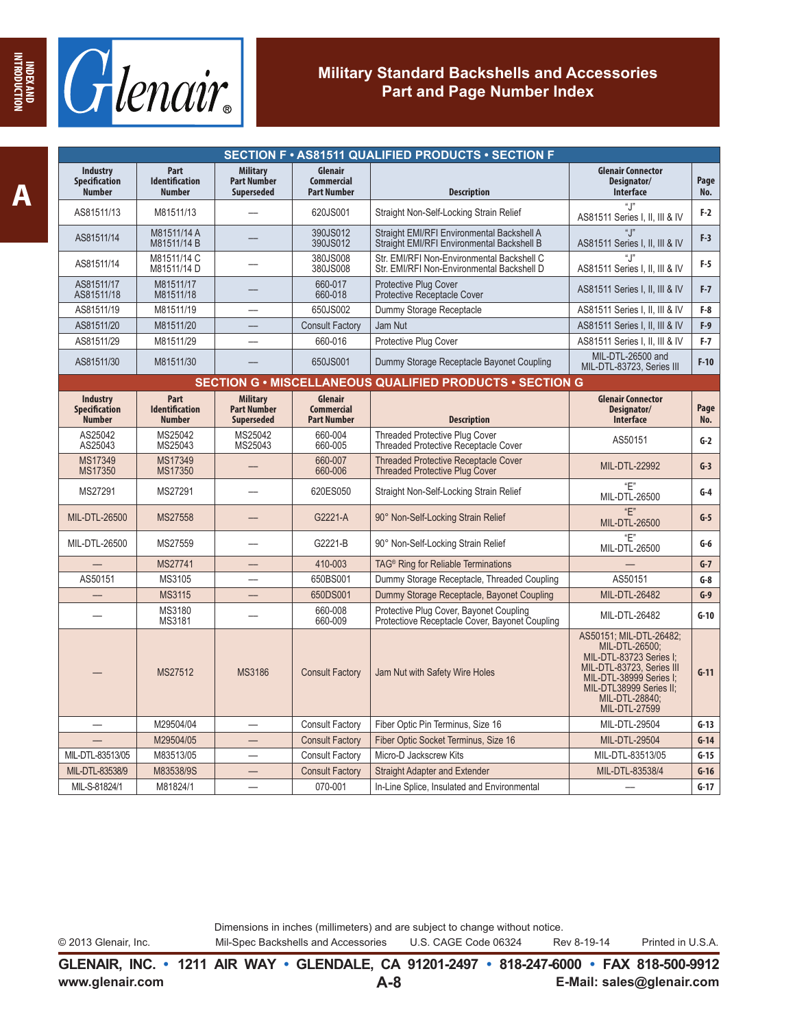

|                                                          |                                                |                                                            |                                                    | SECTION F · AS81511 QUALIFIED PRODUCTS · SECTION F                                        |                                                                                                                                                                                            |             |
|----------------------------------------------------------|------------------------------------------------|------------------------------------------------------------|----------------------------------------------------|-------------------------------------------------------------------------------------------|--------------------------------------------------------------------------------------------------------------------------------------------------------------------------------------------|-------------|
| <b>Industry</b><br><b>Specification</b><br><b>Number</b> | Part<br><b>Identification</b><br><b>Number</b> | <b>Military</b><br><b>Part Number</b><br><b>Superseded</b> | Glenair<br><b>Commercial</b><br><b>Part Number</b> | <b>Description</b>                                                                        | <b>Glenair Connector</b><br>Designator/<br><b>Interface</b>                                                                                                                                | Page<br>No. |
| AS81511/13                                               | M81511/13                                      |                                                            | 620JS001                                           | Straight Non-Self-Locking Strain Relief                                                   | ".!"<br>AS81511 Series I, II, III & IV                                                                                                                                                     | $F-2$       |
| AS81511/14                                               | M81511/14 A<br>M81511/14 B                     |                                                            | 390JS012<br>390JS012                               | Straight EMI/RFI Environmental Backshell A<br>Straight EMI/RFI Environmental Backshell B  | $\mathfrak{a}$ $\mathfrak{p}$<br>AS81511 Series I, II, III & IV                                                                                                                            | $F-3$       |
| AS81511/14                                               | M81511/14 C<br>M81511/14 D                     |                                                            | 380JS008<br>380JS008                               | Str. EMI/RFI Non-Environmental Backshell C<br>Str. EMI/RFI Non-Environmental Backshell D  | $``$ $"$<br>AS81511 Series I, II, III & IV                                                                                                                                                 | $F-5$       |
| AS81511/17<br>AS81511/18                                 | M81511/17<br>M81511/18                         |                                                            | 660-017<br>660-018                                 | <b>Protective Plug Cover</b><br><b>Protective Receptacle Cover</b>                        | AS81511 Series I, II, III & IV                                                                                                                                                             | $F-7$       |
| AS81511/19                                               | M81511/19                                      |                                                            | 650JS002                                           | Dummy Storage Receptacle                                                                  | AS81511 Series I, II, III & IV                                                                                                                                                             | $F-8$       |
| AS81511/20                                               | M81511/20                                      |                                                            | <b>Consult Factory</b>                             | Jam Nut                                                                                   | AS81511 Series I, II, III & IV                                                                                                                                                             | $F-9$       |
| AS81511/29                                               | M81511/29                                      |                                                            | 660-016                                            | Protective Plug Cover                                                                     | AS81511 Series I, II, III & IV                                                                                                                                                             | $F-7$       |
| AS81511/30                                               | M81511/30                                      |                                                            | 650JS001                                           | Dummy Storage Receptacle Bayonet Coupling                                                 | MIL-DTL-26500 and<br>MIL-DTL-83723, Series III                                                                                                                                             | $F-10$      |
|                                                          |                                                |                                                            |                                                    | SECTION G . MISCELLANEOUS QUALIFIED PRODUCTS . SECTION G                                  |                                                                                                                                                                                            |             |
| <b>Industry</b><br><b>Specification</b><br><b>Number</b> | Part<br><b>Identification</b><br><b>Number</b> | <b>Military</b><br><b>Part Number</b><br><b>Superseded</b> | Glenair<br><b>Commercial</b><br><b>Part Number</b> | <b>Description</b>                                                                        | <b>Glenair Connector</b><br>Designator/<br>Interface                                                                                                                                       | Page<br>No. |
| AS25042                                                  | MS25042                                        | MS25042                                                    | 660-004                                            | <b>Threaded Protective Plug Cover</b>                                                     |                                                                                                                                                                                            |             |
| AS25043                                                  | MS25043                                        | MS25043                                                    | 660-005                                            | <b>Threaded Protective Receptacle Cover</b>                                               | AS50151                                                                                                                                                                                    | $G-2$       |
| MS17349<br>MS17350                                       | MS17349<br>MS17350                             |                                                            | 660-007<br>660-006                                 | <b>Threaded Protective Receptacle Cover</b><br><b>Threaded Protective Plug Cover</b>      | MIL-DTL-22992                                                                                                                                                                              | $G-3$       |
| MS27291                                                  | MS27291                                        |                                                            | 620ES050                                           | Straight Non-Self-Locking Strain Relief                                                   | "E"<br>MIL-DTL-26500                                                                                                                                                                       | $G-4$       |
| MIL-DTL-26500                                            | MS27558                                        |                                                            | G2221-A                                            | 90° Non-Self-Locking Strain Relief                                                        | "F"<br>MIL-DTL-26500                                                                                                                                                                       | $G-5$       |
| MIL-DTL-26500                                            | MS27559                                        |                                                            | G2221-B                                            | 90° Non-Self-Locking Strain Relief                                                        | "E"<br>MIL-DTL-26500                                                                                                                                                                       | $G-6$       |
|                                                          | MS27741                                        | —                                                          | 410-003                                            | TAG <sup>®</sup> Ring for Reliable Terminations                                           |                                                                                                                                                                                            | $G-7$       |
| AS50151                                                  | MS3105                                         |                                                            | 650BS001                                           | Dummy Storage Receptacle, Threaded Coupling                                               | AS50151                                                                                                                                                                                    | $G-8$       |
|                                                          | <b>MS3115</b>                                  |                                                            | 650DS001                                           | Dummy Storage Receptacle, Bayonet Coupling                                                | MIL-DTL-26482                                                                                                                                                                              | $G-9$       |
|                                                          | MS3180<br>MS3181                               |                                                            | 660-008<br>660-009                                 | Protective Plug Cover, Bayonet Coupling<br>Protectiove Receptacle Cover, Bayonet Coupling | MIL-DTL-26482                                                                                                                                                                              | $G-10$      |
|                                                          | MS27512                                        | <b>MS3186</b>                                              | <b>Consult Factory</b>                             | Jam Nut with Safety Wire Holes                                                            | AS50151; MIL-DTL-26482;<br>MIL-DTL-26500:<br>MIL-DTL-83723 Series I;<br>MIL-DTL-83723, Series III<br>MIL-DTL-38999 Series I;<br>MIL-DTL38999 Series II;<br>MIL-DTL-28840;<br>MIL-DTL-27599 | $G-11$      |
|                                                          | M29504/04                                      |                                                            | <b>Consult Factory</b>                             | Fiber Optic Pin Terminus, Size 16                                                         | MIL-DTL-29504                                                                                                                                                                              | $G-13$      |
|                                                          | M29504/05                                      |                                                            | <b>Consult Factory</b>                             | Fiber Optic Socket Terminus, Size 16                                                      | MIL-DTL-29504                                                                                                                                                                              | $G-14$      |
| MIL-DTL-83513/05                                         | M83513/05                                      |                                                            | <b>Consult Factory</b>                             | Micro-D Jackscrew Kits                                                                    | MIL-DTL-83513/05                                                                                                                                                                           | $G-15$      |
| MIL-DTL-83538/9                                          | M83538/9S                                      |                                                            | <b>Consult Factory</b>                             | <b>Straight Adapter and Extender</b>                                                      | MIL-DTL-83538/4                                                                                                                                                                            | $G-16$      |
| MIL-S-81824/1                                            | M81824/1                                       |                                                            | 070-001                                            | In-Line Splice, Insulated and Environmental                                               |                                                                                                                                                                                            | $G-17$      |

© 2013 Glenair, Inc. Mil-Spec Backshells and Accessories U.S. CAGE Code 06324 Rev 8-19-14 Printed in U.S.A.

**www.glenair.com E-Mail: sales@glenair.com GLENAIR, INC. • 1211 AIR WAY • GLENDALE, CA 91201-2497 • 818-247-6000 • FAX 818-500-9912 A-8**

**INDEX AND INTRODUCTION**

INDEX AND<br>HITRODUCTION